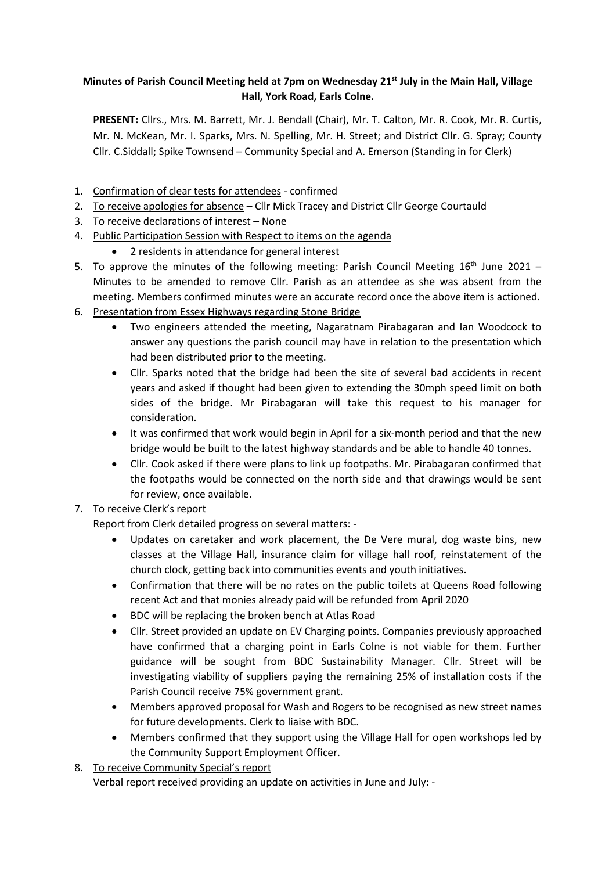# **Minutes of Parish Council Meeting held at 7pm on Wednesday 21st July in the Main Hall, Village Hall, York Road, Earls Colne.**

**PRESENT:** Cllrs., Mrs. M. Barrett, Mr. J. Bendall (Chair), Mr. T. Calton, Mr. R. Cook, Mr. R. Curtis, Mr. N. McKean, Mr. I. Sparks, Mrs. N. Spelling, Mr. H. Street; and District Cllr. G. Spray; County Cllr. C.Siddall; Spike Townsend – Community Special and A. Emerson (Standing in for Clerk)

- 1. Confirmation of clear tests for attendees confirmed
- 2. To receive apologies for absence Cllr Mick Tracey and District Cllr George Courtauld
- 3. To receive declarations of interest None
- 4. Public Participation Session with Respect to items on the agenda
	- 2 residents in attendance for general interest
- 5. To approve the minutes of the following meeting: Parish Council Meeting  $16<sup>th</sup>$  June 2021 Minutes to be amended to remove Cllr. Parish as an attendee as she was absent from the meeting. Members confirmed minutes were an accurate record once the above item is actioned.
- 6. Presentation from Essex Highways regarding Stone Bridge
	- Two engineers attended the meeting, Nagaratnam Pirabagaran and Ian Woodcock to answer any questions the parish council may have in relation to the presentation which had been distributed prior to the meeting.
	- Cllr. Sparks noted that the bridge had been the site of several bad accidents in recent years and asked if thought had been given to extending the 30mph speed limit on both sides of the bridge. Mr Pirabagaran will take this request to his manager for consideration.
	- It was confirmed that work would begin in April for a six-month period and that the new bridge would be built to the latest highway standards and be able to handle 40 tonnes.
	- Cllr. Cook asked if there were plans to link up footpaths. Mr. Pirabagaran confirmed that the footpaths would be connected on the north side and that drawings would be sent for review, once available.

## 7. To receive Clerk's report

Report from Clerk detailed progress on several matters: -

- Updates on caretaker and work placement, the De Vere mural, dog waste bins, new classes at the Village Hall, insurance claim for village hall roof, reinstatement of the church clock, getting back into communities events and youth initiatives.
- Confirmation that there will be no rates on the public toilets at Queens Road following recent Act and that monies already paid will be refunded from April 2020
- BDC will be replacing the broken bench at Atlas Road
- Cllr. Street provided an update on EV Charging points. Companies previously approached have confirmed that a charging point in Earls Colne is not viable for them. Further guidance will be sought from BDC Sustainability Manager. Cllr. Street will be investigating viability of suppliers paying the remaining 25% of installation costs if the Parish Council receive 75% government grant.
- Members approved proposal for Wash and Rogers to be recognised as new street names for future developments. Clerk to liaise with BDC.
- Members confirmed that they support using the Village Hall for open workshops led by the Community Support Employment Officer.
- 8. To receive Community Special's report

Verbal report received providing an update on activities in June and July: -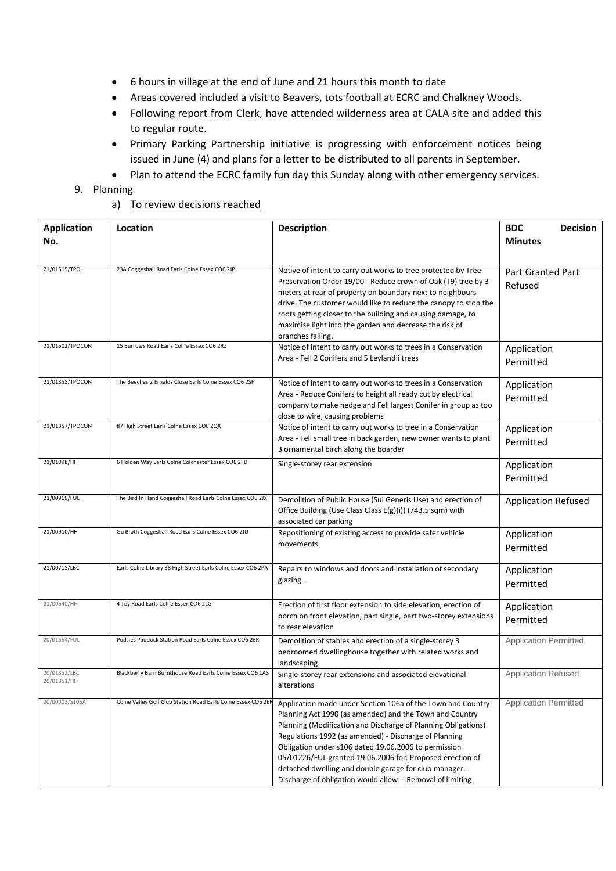- 6 hours in village at the end of June and 21 hours this month to date
- Areas covered included a visit to Beavers, tots football at ECRC and Chalkney Woods.
- Following report from Clerk, have attended wilderness area at CALA site and added this to regular route.
- Primary Parking Partnership initiative is progressing with enforcement notices being issued in June (4) and plans for a letter to be distributed to all parents in September.
- Plan to attend the ECRC family fun day this Sunday along with other emergency services.

## 9. Planning

### a) To review decisions reached

| <b>Application</b><br>No.   | Location                                                      | <b>Description</b>                                                                                                                                                                                                                                                                                                                                                                                                                                                                           | <b>BDC</b><br><b>Decision</b><br><b>Minutes</b> |
|-----------------------------|---------------------------------------------------------------|----------------------------------------------------------------------------------------------------------------------------------------------------------------------------------------------------------------------------------------------------------------------------------------------------------------------------------------------------------------------------------------------------------------------------------------------------------------------------------------------|-------------------------------------------------|
| 21/01515/TPO                | 23A Coggeshall Road Earls Colne Essex CO6 2JP                 | Notive of intent to carry out works to tree protected by Tree<br>Preservation Order 19/00 - Reduce crown of Oak (T9) tree by 3<br>meters at rear of property on boundary next to neighbours<br>drive. The customer would like to reduce the canopy to stop the<br>roots getting closer to the building and causing damage, to<br>maximise light into the garden and decrease the risk of<br>branches falling.                                                                                | <b>Part Granted Part</b><br>Refused             |
| 21/01502/TPOCON             | 15 Burrows Road Earls Colne Essex CO6 2RZ                     | Notice of intent to carry out works to trees in a Conservation<br>Area - Fell 2 Conifers and 5 Leylandii trees                                                                                                                                                                                                                                                                                                                                                                               | Application<br>Permitted                        |
| 21/01355/TPOCON             | The Beeches 2 Ernalds Close Earls Colne Essex CO6 2SF         | Notice of intent to carry out works to trees in a Conservation<br>Area - Reduce Conifers to height all ready cut by electrical<br>company to make hedge and Fell largest Conifer in group as too<br>close to wire, causing problems                                                                                                                                                                                                                                                          | Application<br>Permitted                        |
| 21/01357/TPOCON             | 87 High Street Earls Colne Essex CO6 2QX                      | Notice of intent to carry out works to tree in a Conservation<br>Area - Fell small tree in back garden, new owner wants to plant<br>3 ornamental birch along the boarder                                                                                                                                                                                                                                                                                                                     | Application<br>Permitted                        |
| 21/01098/HH                 | 6 Holden Way Earls Colne Colchester Essex CO6 2FD             | Single-storey rear extension                                                                                                                                                                                                                                                                                                                                                                                                                                                                 | Application<br>Permitted                        |
| 21/00969/FUL                | The Bird In Hand Coggeshall Road Earls Colne Essex CO6 2JX    | Demolition of Public House (Sui Generis Use) and erection of<br>Office Building (Use Class Class E(g)(i)) (743.5 sqm) with<br>associated car parking                                                                                                                                                                                                                                                                                                                                         | <b>Application Refused</b>                      |
| 21/00910/HH                 | Gu Brath Coggeshall Road Earls Colne Essex CO6 2JU            | Repositioning of existing access to provide safer vehicle<br>movements.                                                                                                                                                                                                                                                                                                                                                                                                                      | Application<br>Permitted                        |
| 21/00715/LBC                | Earls Colne Library 38 High Street Earls Colne Essex CO6 2PA  | Repairs to windows and doors and installation of secondary<br>glazing.                                                                                                                                                                                                                                                                                                                                                                                                                       | Application<br>Permitted                        |
| 21/00640/HH                 | 4 Tey Road Earls Colne Essex CO6 2LG                          | Erection of first floor extension to side elevation, erection of<br>porch on front elevation, part single, part two-storey extensions<br>to rear elevation                                                                                                                                                                                                                                                                                                                                   | Application<br>Permitted                        |
| 20/01664/FUL                | Pudsies Paddock Station Road Earls Colne Essex CO6 2ER        | Demolition of stables and erection of a single-storey 3<br>bedroomed dwellinghouse together with related works and<br>landscaping.                                                                                                                                                                                                                                                                                                                                                           | <b>Application Permitted</b>                    |
| 20/01352/LBC<br>20/01351/HH | Blackberry Barn Burnthouse Road Earls Colne Essex CO6 1AS     | Single-storey rear extensions and associated elevational<br>alterations                                                                                                                                                                                                                                                                                                                                                                                                                      | <b>Application Refused</b>                      |
| 20/00003/S106A              | Colne Valley Golf Club Station Road Earls Colne Essex CO6 2EF | Application made under Section 106a of the Town and Country<br>Planning Act 1990 (as amended) and the Town and Country<br>Planning (Modification and Discharge of Planning Obligations)<br>Regulations 1992 (as amended) - Discharge of Planning<br>Obligation under s106 dated 19.06.2006 to permission<br>05/01226/FUL granted 19.06.2006 for: Proposed erection of<br>detached dwelling and double garage for club manager.<br>Discharge of obligation would allow: - Removal of limiting | <b>Application Permitted</b>                    |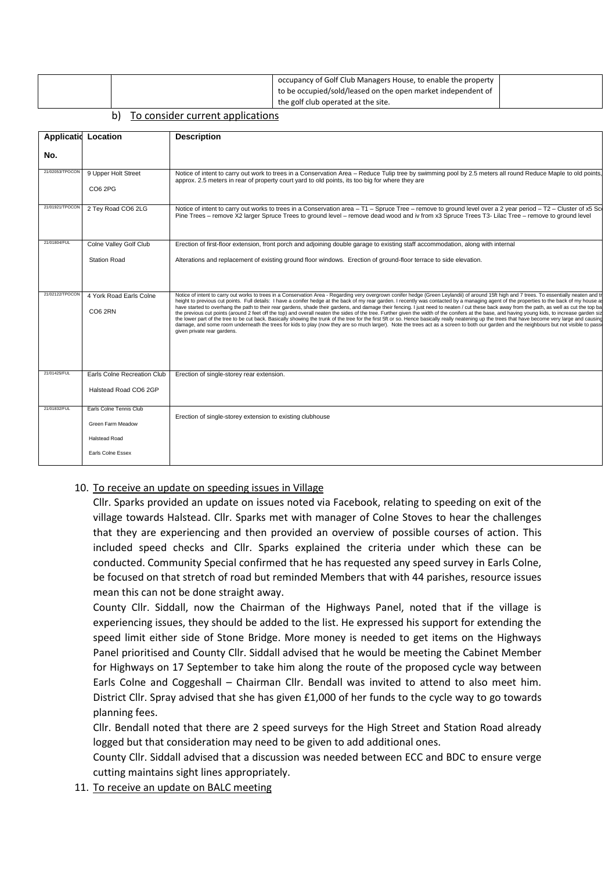|  |  |  | occupancy of Golf Club Managers House, to enable the property<br>to be occupied/sold/leased on the open market independent of<br>the golf club operated at the site. |  |
|--|--|--|----------------------------------------------------------------------------------------------------------------------------------------------------------------------|--|
|--|--|--|----------------------------------------------------------------------------------------------------------------------------------------------------------------------|--|

#### b) To consider current applications

| <b>Applicatio</b> | Location                                                                                  | <b>Description</b>                                                                                                                                                                                                                                                                                                                                                                                                                                                                                                                                                                                                                                                                                                                                                                                                                                                                                                                                                                                                                                                                                                                                                                                                               |
|-------------------|-------------------------------------------------------------------------------------------|----------------------------------------------------------------------------------------------------------------------------------------------------------------------------------------------------------------------------------------------------------------------------------------------------------------------------------------------------------------------------------------------------------------------------------------------------------------------------------------------------------------------------------------------------------------------------------------------------------------------------------------------------------------------------------------------------------------------------------------------------------------------------------------------------------------------------------------------------------------------------------------------------------------------------------------------------------------------------------------------------------------------------------------------------------------------------------------------------------------------------------------------------------------------------------------------------------------------------------|
| No.               |                                                                                           |                                                                                                                                                                                                                                                                                                                                                                                                                                                                                                                                                                                                                                                                                                                                                                                                                                                                                                                                                                                                                                                                                                                                                                                                                                  |
| 21/02053/TPOCON   | 9 Upper Holt Street<br>CO6 2PG                                                            | Notice of intent to carry out work to trees in a Conservation Area - Reduce Tulip tree by swimming pool by 2.5 meters all round Reduce Maple to old points,<br>approx. 2.5 meters in rear of property court yard to old points, its too big for where they are                                                                                                                                                                                                                                                                                                                                                                                                                                                                                                                                                                                                                                                                                                                                                                                                                                                                                                                                                                   |
| 21/01921/TPOCON   | 2 Tey Road CO6 2LG                                                                        | Notice of intent to carry out works to trees in a Conservation area - T1 - Spruce Tree - remove to ground level over a 2 year period - T2 - Cluster of x5 Scr<br>Pine Trees – remove X2 larger Spruce Trees to ground level – remove dead wood and iv from x3 Spruce Trees T3- Lilac Tree – remove to ground level                                                                                                                                                                                                                                                                                                                                                                                                                                                                                                                                                                                                                                                                                                                                                                                                                                                                                                               |
| 21/01804/FUL      | Colne Valley Golf Club                                                                    | Erection of first-floor extension, front porch and adjoining double garage to existing staff accommodation, along with internal                                                                                                                                                                                                                                                                                                                                                                                                                                                                                                                                                                                                                                                                                                                                                                                                                                                                                                                                                                                                                                                                                                  |
|                   | <b>Station Road</b>                                                                       | Alterations and replacement of existing ground floor windows. Erection of ground-floor terrace to side elevation.                                                                                                                                                                                                                                                                                                                                                                                                                                                                                                                                                                                                                                                                                                                                                                                                                                                                                                                                                                                                                                                                                                                |
| 21/02122/TPOCON   | 4 York Road Earls Colne<br><b>CO6 2RN</b>                                                 | Notice of intent to carry out works to trees in a Conservation Area - Regarding very overgrown conifer hedge (Green Leylandii) of around 15ft high and 7 trees. To essentially neaten and to<br>height to previous cut points. Full details: I have a conifer hedge at the back of my rear garden. I recently was contacted by a managing agent of the properties to the back of my house as<br>have started to overhang the path to their rear gardens, shade their gardens, and damage their fencing. I just need to neaten / cut these back away from the path, as well as cut the top ba<br>the previous cut points (around 2 feet off the top) and overall neaten the sides of the tree. Further given the width of the conifers at the base, and having young kids, to increase garden siz<br>the lower part of the tree to be cut back. Basically showing the trunk of the tree for the first 5ft or so. Hence basically really neatening up the trees that have become very large and causing<br>damage, and some room underneath the trees for kids to play (now they are so much larger). Note the trees act as a screen to both our garden and the neighbours but not visible to passe<br>given private rear gardens. |
| 21/01425/FUL      | Earls Colne Recreation Club<br>Halstead Road CO6 2GP                                      | Erection of single-storey rear extension.                                                                                                                                                                                                                                                                                                                                                                                                                                                                                                                                                                                                                                                                                                                                                                                                                                                                                                                                                                                                                                                                                                                                                                                        |
| 21/01832/FUL      | Earls Colne Tennis Club<br>Green Farm Meadow<br><b>Halstead Road</b><br>Earls Colne Essex | Erection of single-storey extension to existing clubhouse                                                                                                                                                                                                                                                                                                                                                                                                                                                                                                                                                                                                                                                                                                                                                                                                                                                                                                                                                                                                                                                                                                                                                                        |

#### 10. To receive an update on speeding issues in Village

Cllr. Sparks provided an update on issues noted via Facebook, relating to speeding on exit of the village towards Halstead. Cllr. Sparks met with manager of Colne Stoves to hear the challenges that they are experiencing and then provided an overview of possible courses of action. This included speed checks and Cllr. Sparks explained the criteria under which these can be conducted. Community Special confirmed that he has requested any speed survey in Earls Colne, be focused on that stretch of road but reminded Members that with 44 parishes, resource issues mean this can not be done straight away.

County Cllr. Siddall, now the Chairman of the Highways Panel, noted that if the village is experiencing issues, they should be added to the list. He expressed his support for extending the speed limit either side of Stone Bridge. More money is needed to get items on the Highways Panel prioritised and County Cllr. Siddall advised that he would be meeting the Cabinet Member for Highways on 17 September to take him along the route of the proposed cycle way between Earls Colne and Coggeshall – Chairman Cllr. Bendall was invited to attend to also meet him. District Cllr. Spray advised that she has given £1,000 of her funds to the cycle way to go towards planning fees.

Cllr. Bendall noted that there are 2 speed surveys for the High Street and Station Road already logged but that consideration may need to be given to add additional ones.

County Cllr. Siddall advised that a discussion was needed between ECC and BDC to ensure verge cutting maintains sight lines appropriately.

11. To receive an update on BALC meeting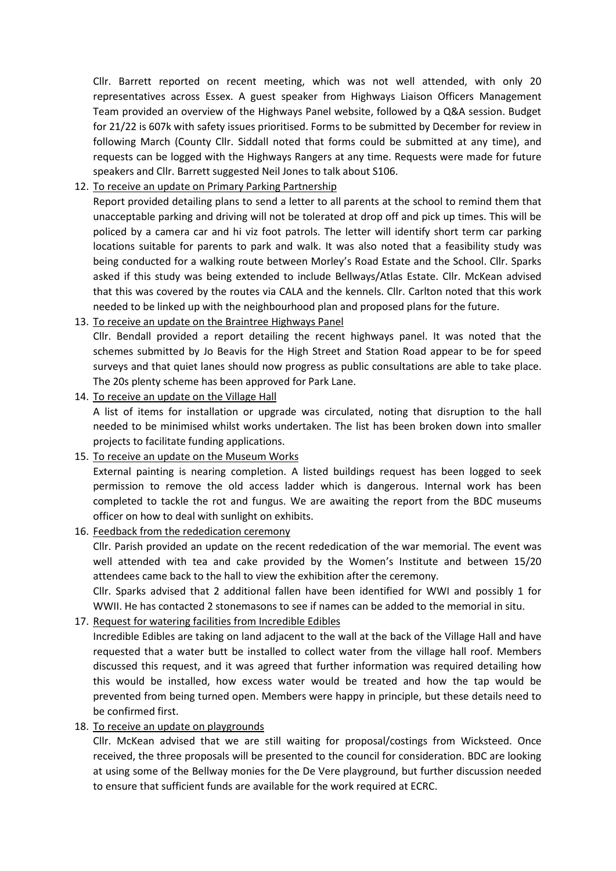Cllr. Barrett reported on recent meeting, which was not well attended, with only 20 representatives across Essex. A guest speaker from Highways Liaison Officers Management Team provided an overview of the Highways Panel website, followed by a Q&A session. Budget for 21/22 is 607k with safety issues prioritised. Forms to be submitted by December for review in following March (County Cllr. Siddall noted that forms could be submitted at any time), and requests can be logged with the Highways Rangers at any time. Requests were made for future speakers and Cllr. Barrett suggested Neil Jones to talk about S106.

## 12. To receive an update on Primary Parking Partnership

Report provided detailing plans to send a letter to all parents at the school to remind them that unacceptable parking and driving will not be tolerated at drop off and pick up times. This will be policed by a camera car and hi viz foot patrols. The letter will identify short term car parking locations suitable for parents to park and walk. It was also noted that a feasibility study was being conducted for a walking route between Morley's Road Estate and the School. Cllr. Sparks asked if this study was being extended to include Bellways/Atlas Estate. Cllr. McKean advised that this was covered by the routes via CALA and the kennels. Cllr. Carlton noted that this work needed to be linked up with the neighbourhood plan and proposed plans for the future.

## 13. To receive an update on the Braintree Highways Panel

Cllr. Bendall provided a report detailing the recent highways panel. It was noted that the schemes submitted by Jo Beavis for the High Street and Station Road appear to be for speed surveys and that quiet lanes should now progress as public consultations are able to take place. The 20s plenty scheme has been approved for Park Lane.

## 14. To receive an update on the Village Hall

A list of items for installation or upgrade was circulated, noting that disruption to the hall needed to be minimised whilst works undertaken. The list has been broken down into smaller projects to facilitate funding applications.

## 15. To receive an update on the Museum Works

External painting is nearing completion. A listed buildings request has been logged to seek permission to remove the old access ladder which is dangerous. Internal work has been completed to tackle the rot and fungus. We are awaiting the report from the BDC museums officer on how to deal with sunlight on exhibits.

## 16. Feedback from the rededication ceremony

Cllr. Parish provided an update on the recent rededication of the war memorial. The event was well attended with tea and cake provided by the Women's Institute and between 15/20 attendees came back to the hall to view the exhibition after the ceremony.

Cllr. Sparks advised that 2 additional fallen have been identified for WWI and possibly 1 for WWII. He has contacted 2 stonemasons to see if names can be added to the memorial in situ.

## 17. Request for watering facilities from Incredible Edibles

Incredible Edibles are taking on land adjacent to the wall at the back of the Village Hall and have requested that a water butt be installed to collect water from the village hall roof. Members discussed this request, and it was agreed that further information was required detailing how this would be installed, how excess water would be treated and how the tap would be prevented from being turned open. Members were happy in principle, but these details need to be confirmed first.

## 18. To receive an update on playgrounds

Cllr. McKean advised that we are still waiting for proposal/costings from Wicksteed. Once received, the three proposals will be presented to the council for consideration. BDC are looking at using some of the Bellway monies for the De Vere playground, but further discussion needed to ensure that sufficient funds are available for the work required at ECRC.